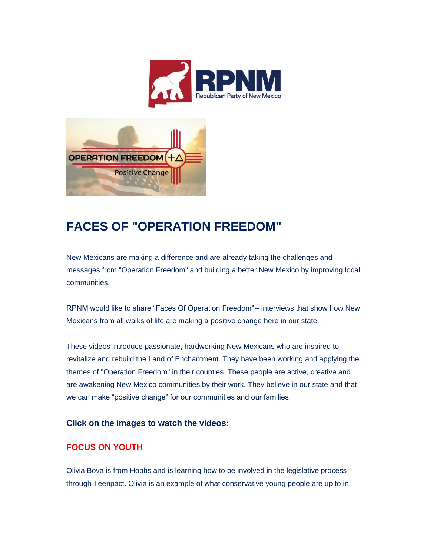



## **FACES OF "OPERATION FREEDOM"**

New Mexicans are making a difference and are already taking the challenges and messages from "Operation Freedom" and building a better New Mexico by improving local communities.

RPNM would like to share "Faces Of Operation Freedom"-- interviews that show how New Mexicans from all walks of life are making a positive change here in our state.

These videos introduce passionate, hardworking New Mexicans who are inspired to revitalize and rebuild the Land of Enchantment. They have been working and applying the themes of "Operation Freedom" in their counties. These people are active, creative and are awakening New Mexico communities by their work. They believe in our state and that we can make "positive change" for our communities and our families.

## **Click on the images to watch the videos:**

## **FOCUS ON YOUTH**

Olivia Bova is from Hobbs and is learning how to be involved in the legislative process through Teenpact. Olivia is an example of what conservative young people are up to in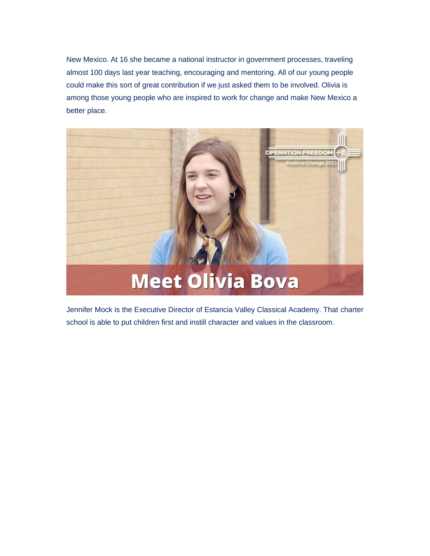New Mexico. At 16 she became a national instructor in government processes, traveling almost 100 days last year teaching, encouraging and mentoring. All of our young people could make this sort of great contribution if we just asked them to be involved. Olivia is among those young people who are inspired to work for change and make New Mexico a better place.



Jennifer Mock is the Executive Director of Estancia Valley Classical Academy. That charter school is able to put children first and instill character and values in the classroom.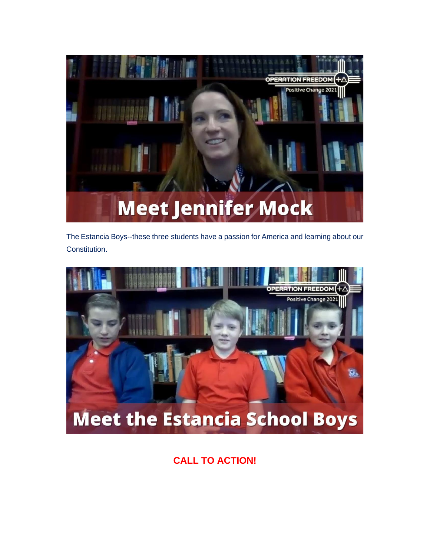

The Estancia Boys--these three students have a passion for America and learning about our Constitution.



## **CALL TO ACTION!**